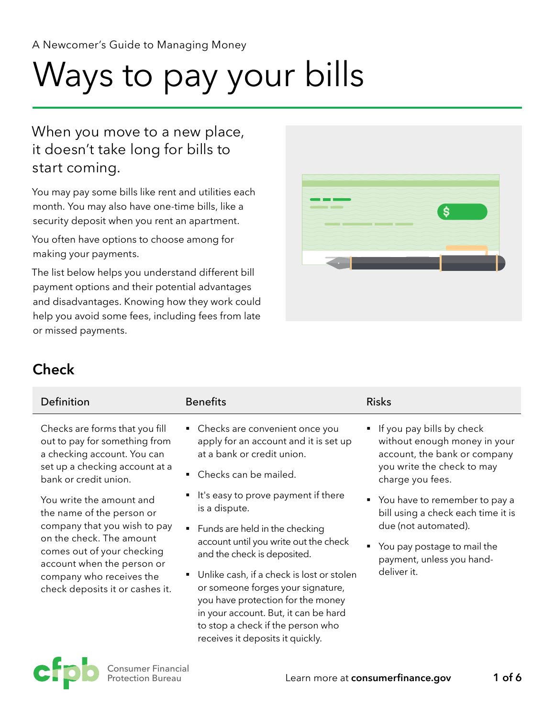# Ways to pay your bills

#### When you move to a new place, it doesn't take long for bills to start coming.

You may pay some bills like rent and utilities each month. You may also have one-time bills, like a security deposit when you rent an apartment.

You often have options to choose among for making your payments.

The list below helps you understand different bill payment options and their potential advantages and disadvantages. Knowing how they work could help you avoid some fees, including fees from late or missed payments.



# **Check**

| Definition                                                                                                                       | <b>Benefits</b>                                                                                                                    | <b>Risks</b>                                                                                                             |
|----------------------------------------------------------------------------------------------------------------------------------|------------------------------------------------------------------------------------------------------------------------------------|--------------------------------------------------------------------------------------------------------------------------|
| Checks are forms that you fill<br>out to pay for something from<br>a checking account. You can<br>set up a checking account at a | • Checks are convenient once you<br>apply for an account and it is set up<br>at a bank or credit union.<br>• Checks can be mailed. | If you pay bills by check<br>without enough money in your<br>account, the bank or company<br>you write the check to may  |
| bank or credit union.<br>You write the amount and                                                                                | ■ It's easy to prove payment if there                                                                                              | charge you fees.<br>• You have to remember to pay a                                                                      |
| the name of the person or<br>company that you wish to pay<br>on the check. The amount                                            | is a dispute.                                                                                                                      | bill using a check each time it is<br>due (not automated).<br>• You pay postage to mail the<br>payment, unless you hand- |
|                                                                                                                                  | • Funds are held in the checking<br>account until you write out the check                                                          |                                                                                                                          |
| comes out of your checking<br>account when the person or                                                                         | and the check is deposited.                                                                                                        |                                                                                                                          |
| company who receives the<br>check deposits it or cashes it.                                                                      | Unlike cash, if a check is lost or stolen<br>or someone forges your signature,<br>you have protection for the money                | deliver it.                                                                                                              |

in your account. But, it can be hard to stop a check if the person who receives it deposits it quickly.

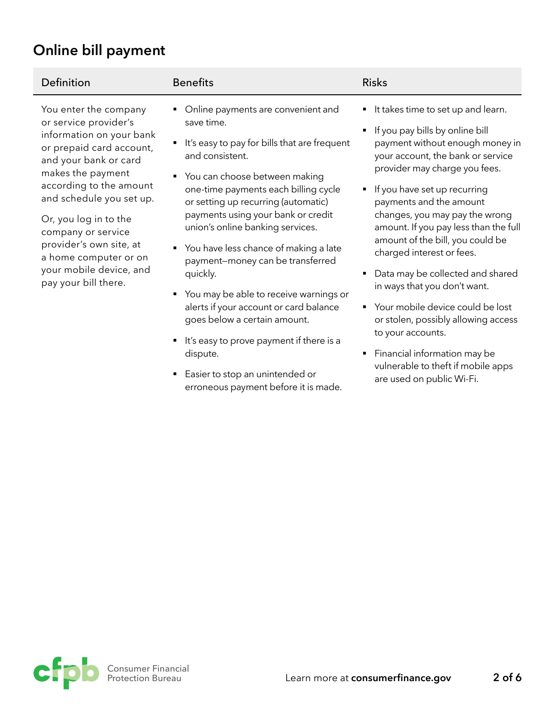## **Online bill payment**

| Definition                                                                                                                                                                                                                                                                                                                                                        | <b>Benefits</b>                                                                                                                                                                                                                                                                                                                                                                                                                                                                                                                                                            | <b>Risks</b>                                                                                                                                                                                                                                                                                                                                                                                                                                                                                                                                                  |
|-------------------------------------------------------------------------------------------------------------------------------------------------------------------------------------------------------------------------------------------------------------------------------------------------------------------------------------------------------------------|----------------------------------------------------------------------------------------------------------------------------------------------------------------------------------------------------------------------------------------------------------------------------------------------------------------------------------------------------------------------------------------------------------------------------------------------------------------------------------------------------------------------------------------------------------------------------|---------------------------------------------------------------------------------------------------------------------------------------------------------------------------------------------------------------------------------------------------------------------------------------------------------------------------------------------------------------------------------------------------------------------------------------------------------------------------------------------------------------------------------------------------------------|
| You enter the company<br>or service provider's<br>information on your bank<br>or prepaid card account,<br>and your bank or card<br>makes the payment<br>according to the amount<br>and schedule you set up.<br>Or, you log in to the<br>company or service<br>provider's own site, at<br>a home computer or on<br>your mobile device, and<br>pay your bill there. | Online payments are convenient and<br>save time.<br>It's easy to pay for bills that are frequent<br>and consistent.<br>• You can choose between making<br>one-time payments each billing cycle<br>or setting up recurring (automatic)<br>payments using your bank or credit<br>union's online banking services.<br>• You have less chance of making a late<br>payment-money can be transferred<br>quickly.<br>You may be able to receive warnings or<br>alerts if your account or card balance<br>goes below a certain amount.<br>It's easy to prove payment if there is a | It takes time to set up and learn.<br>If you pay bills by online bill<br>payment without enough money in<br>your account, the bank or service<br>provider may charge you fees.<br>• If you have set up recurring<br>payments and the amount<br>changes, you may pay the wrong<br>amount. If you pay less than the full<br>amount of the bill, you could be<br>charged interest or fees.<br>Data may be collected and shared<br>in ways that you don't want.<br>• Your mobile device could be lost<br>or stolen, possibly allowing access<br>to your accounts. |

dispute.

■ Easier to stop an unintended or

erroneous payment before it is made.

§ Financial information may be vulnerable to theft if mobile apps are used on public Wi-Fi.

cfp Consumer Financial Protection Bureau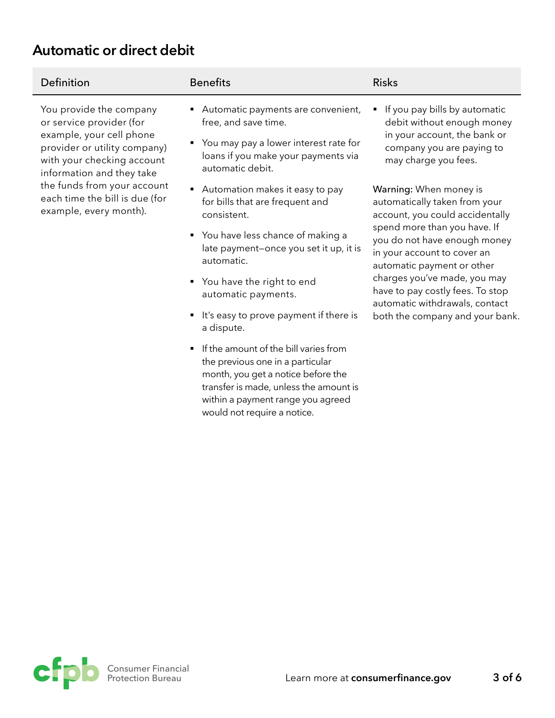## **Automatic or direct debit**

| Definition                                                                                                                                                                                                                                                            | <b>Benefits</b>                                                                                                                                                                                     | <b>Risks</b>                                                                                                                                                                                                                                                                                                                                                     |
|-----------------------------------------------------------------------------------------------------------------------------------------------------------------------------------------------------------------------------------------------------------------------|-----------------------------------------------------------------------------------------------------------------------------------------------------------------------------------------------------|------------------------------------------------------------------------------------------------------------------------------------------------------------------------------------------------------------------------------------------------------------------------------------------------------------------------------------------------------------------|
| You provide the company<br>or service provider (for<br>example, your cell phone<br>provider or utility company)<br>with your checking account<br>information and they take<br>the funds from your account<br>each time the bill is due (for<br>example, every month). | Automatic payments are convenient,<br>free, and save time.<br>You may pay a lower interest rate for<br>loans if you make your payments via<br>automatic debit.                                      | If you pay bills by automatic<br>debit without enough money<br>in your account, the bank or<br>company you are paying to<br>may charge you fees.                                                                                                                                                                                                                 |
|                                                                                                                                                                                                                                                                       | • Automation makes it easy to pay<br>for bills that are frequent and<br>consistent.<br>• You have less chance of making a<br>late payment-once you set it up, it is                                 | Warning: When money is<br>automatically taken from your<br>account, you could accidentally<br>spend more than you have. If<br>you do not have enough money<br>in your account to cover an<br>automatic payment or other<br>charges you've made, you may<br>have to pay costly fees. To stop<br>automatic withdrawals, contact<br>both the company and your bank. |
|                                                                                                                                                                                                                                                                       | automatic.<br>■ You have the right to end<br>automatic payments.<br>It's easy to prove payment if there is<br>a dispute.                                                                            |                                                                                                                                                                                                                                                                                                                                                                  |
|                                                                                                                                                                                                                                                                       | If the amount of the bill varies from<br>٠<br>the previous one in a particular<br>month, you get a notice before the<br>transfer is made, unless the amount is<br>within a payment range you agreed |                                                                                                                                                                                                                                                                                                                                                                  |

would not require a notice.

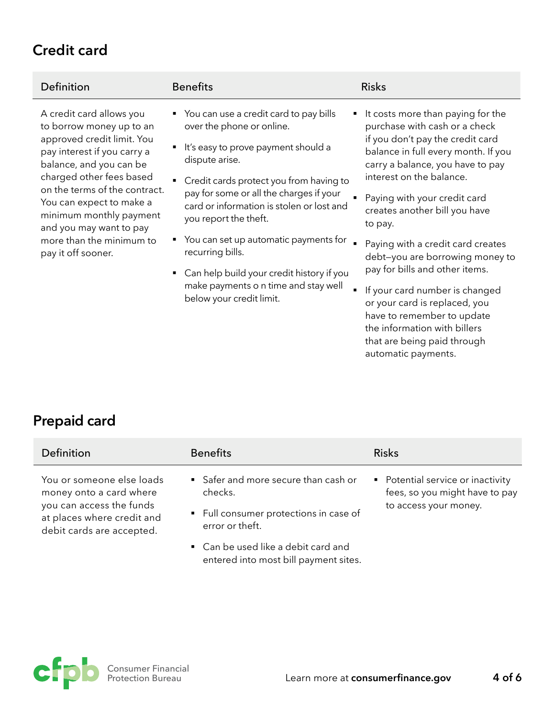## **Credit card**

| Definition                                                                                                                                                                                                                                                                                                                                    | <b>Benefits</b>                                                                                                                                                                                                        | <b>Risks</b>                                                                                                                                                                                                                                       |
|-----------------------------------------------------------------------------------------------------------------------------------------------------------------------------------------------------------------------------------------------------------------------------------------------------------------------------------------------|------------------------------------------------------------------------------------------------------------------------------------------------------------------------------------------------------------------------|----------------------------------------------------------------------------------------------------------------------------------------------------------------------------------------------------------------------------------------------------|
| A credit card allows you<br>to borrow money up to an<br>approved credit limit. You<br>pay interest if you carry a<br>balance, and you can be<br>charged other fees based<br>on the terms of the contract.<br>You can expect to make a<br>minimum monthly payment<br>and you may want to pay<br>more than the minimum to<br>pay it off sooner. | • You can use a credit card to pay bills<br>over the phone or online.<br>It's easy to prove payment should a<br>dispute arise.<br>• Credit cards protect you from having to<br>pay for some or all the charges if your | It costs more than paying for the<br>٠<br>purchase with cash or a check<br>if you don't pay the credit card<br>balance in full every month. If you<br>carry a balance, you have to pay<br>interest on the balance.<br>Paying with your credit card |
|                                                                                                                                                                                                                                                                                                                                               | card or information is stolen or lost and<br>you report the theft.                                                                                                                                                     | creates another bill you have<br>to pay.                                                                                                                                                                                                           |
|                                                                                                                                                                                                                                                                                                                                               | • You can set up automatic payments for<br>recurring bills.                                                                                                                                                            | Paying with a credit card creates<br>debt-you are borrowing money to                                                                                                                                                                               |
|                                                                                                                                                                                                                                                                                                                                               | • Can help build your credit history if you<br>make payments o n time and stay well<br>below your credit limit.                                                                                                        | pay for bills and other items.<br>If your card number is changed<br>or your card is replaced, you                                                                                                                                                  |

#### **Prepaid card**

| Definition                                                                                                                                  | <b>Benefits</b>                                                                                              | <b>Risks</b>                                                                                 |
|---------------------------------------------------------------------------------------------------------------------------------------------|--------------------------------------------------------------------------------------------------------------|----------------------------------------------------------------------------------------------|
| You or someone else loads<br>money onto a card where<br>you can access the funds<br>at places where credit and<br>debit cards are accepted. | • Safer and more secure than cash or<br>checks.<br>• Full consumer protections in case of<br>error or theft. | • Potential service or inactivity<br>fees, so you might have to pay<br>to access your money. |
|                                                                                                                                             | • Can be used like a debit card and<br>entered into most bill payment sites.                                 |                                                                                              |



have to remember to update the information with billers that are being paid through

automatic payments.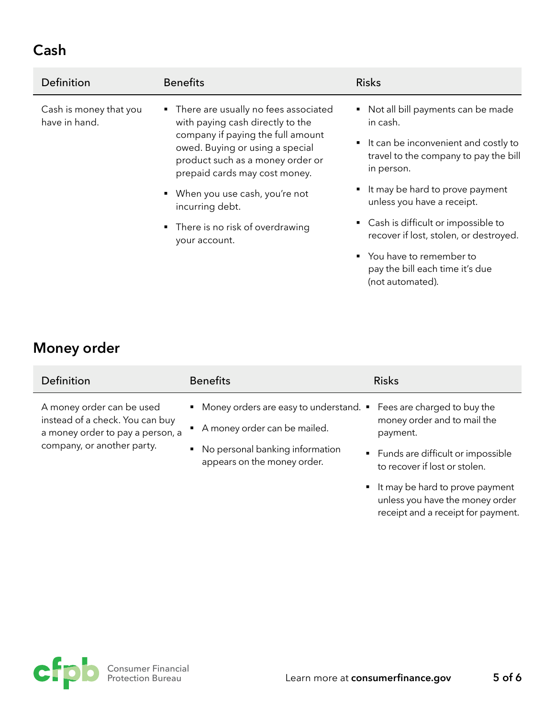### **Cash**

| Definition                              | <b>Benefits</b>                                                                                                                                                                                                         | <b>Risks</b>                                                                                                                                     |
|-----------------------------------------|-------------------------------------------------------------------------------------------------------------------------------------------------------------------------------------------------------------------------|--------------------------------------------------------------------------------------------------------------------------------------------------|
| Cash is money that you<br>have in hand. | • There are usually no fees associated<br>with paying cash directly to the<br>company if paying the full amount<br>owed. Buying or using a special<br>product such as a money order or<br>prepaid cards may cost money. | • Not all bill payments can be made<br>in cash.<br>■ It can be inconvenient and costly to<br>travel to the company to pay the bill<br>in person. |
|                                         | • When you use cash, you're not<br>incurring debt.                                                                                                                                                                      | ■ It may be hard to prove payment<br>unless you have a receipt.                                                                                  |
|                                         | • There is no risk of overdrawing<br>your account.                                                                                                                                                                      | • Cash is difficult or impossible to<br>recover if lost, stolen, or destroyed.                                                                   |
|                                         |                                                                                                                                                                                                                         | • You have to remember to<br>pay the bill each time it's due<br>(not automated).                                                                 |

## **Money order**

| Definition                                                                                                                     | <b>Benefits</b>                                                                                                                              | <b>Risks</b>                                                                                                                                   |
|--------------------------------------------------------------------------------------------------------------------------------|----------------------------------------------------------------------------------------------------------------------------------------------|------------------------------------------------------------------------------------------------------------------------------------------------|
| A money order can be used<br>instead of a check. You can buy<br>a money order to pay a person, a<br>company, or another party. | • Money orders are easy to understand. •<br>A money order can be mailed.<br>• No personal banking information<br>appears on the money order. | Fees are charged to buy the<br>money order and to mail the<br>payment.<br>• Funds are difficult or impossible<br>to recover if lost or stolen. |

■ It may be hard to prove payment unless you have the money order receipt and a receipt for payment.